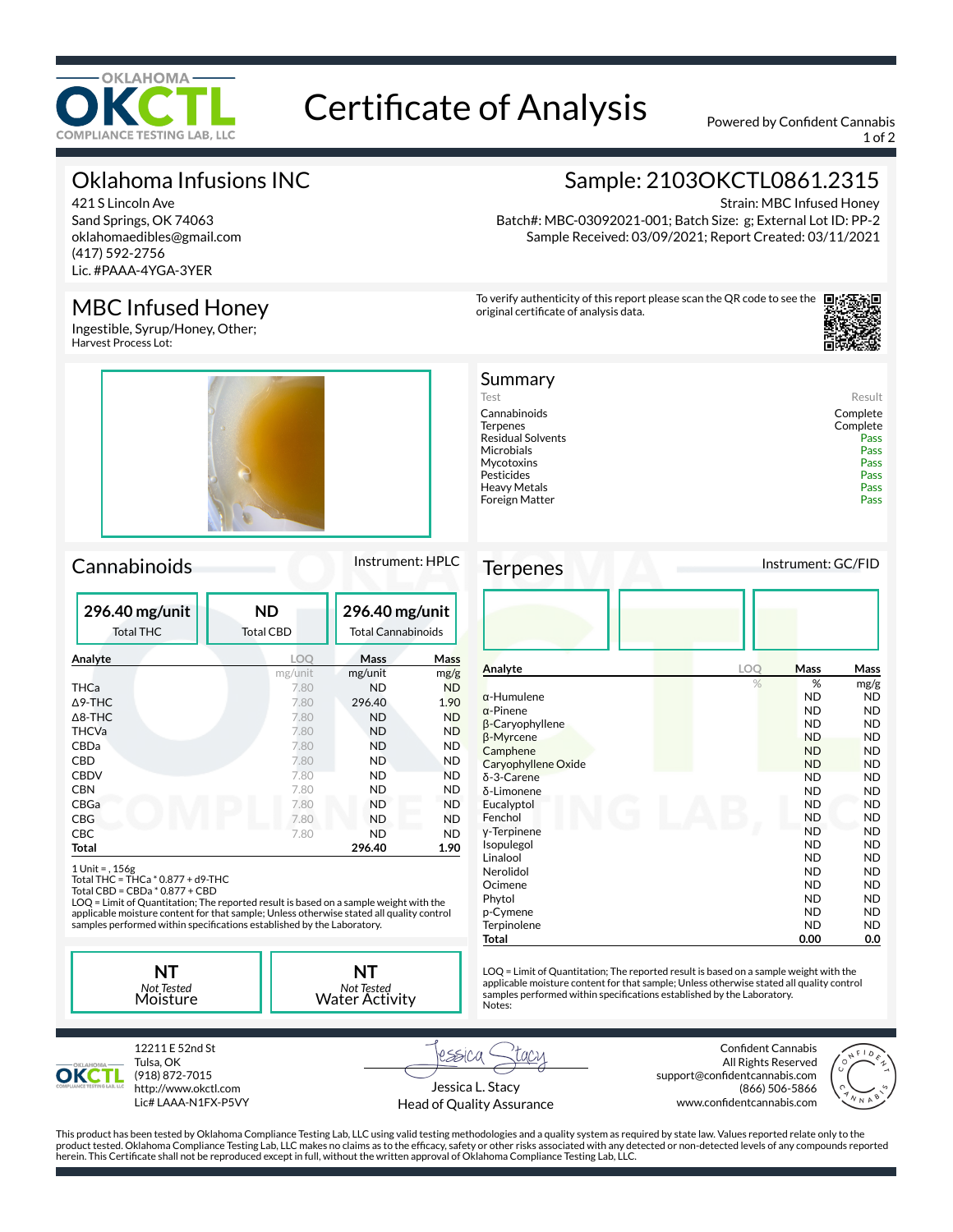

# Certificate of Analysis Powered by Confident Cannabis

1 of 2

## Oklahoma Infusions INC

421 S Lincoln Ave Sand Springs, OK 74063 oklahomaedibles@gmail.com (417) 592-2756 Lic. #PAAA-4YGA-3YER

## MBC Infused Honey

Ingestible, Syrup/Honey, Other; Harvest Process Lot:



## Cannabinoids Instrument: HPLC

| 296.40 mg/unit<br><b>Total THC</b> | <b>ND</b><br><b>Total CBD</b> | 296.40 mg/unit<br><b>Total Cannabinoids</b> |           |
|------------------------------------|-------------------------------|---------------------------------------------|-----------|
| Analyte                            | LOQ                           | Mass                                        | Mass      |
|                                    | mg/unit                       | mg/unit                                     | mg/g      |
| THCa                               | 7.80                          | <b>ND</b>                                   | <b>ND</b> |
| $\Delta$ 9-THC                     | 7.80                          | 296.40                                      | 1.90      |
| $\triangle$ 8-THC                  | 7.80                          | <b>ND</b>                                   | <b>ND</b> |
| <b>THCVa</b>                       | 7.80                          | <b>ND</b>                                   | <b>ND</b> |
| CBDa                               | 7.80                          | ND                                          | <b>ND</b> |
| CBD                                | 7.80                          | ND                                          | ND.       |
| <b>CBDV</b>                        | 7.80                          | ND                                          | <b>ND</b> |
| <b>CBN</b>                         | 7.80                          | ND.                                         | ND.       |
| CBGa                               | 7.80                          | <b>ND</b>                                   | <b>ND</b> |
| <b>CBG</b>                         | 7.80                          | <b>ND</b>                                   | ND        |
| <b>CBC</b>                         | 7.80                          | ND                                          | ND        |
| Total                              |                               | 296.40                                      | 1.90      |

1 Unit = , 156g Total THC = THCa \* 0.877 + d9-THC Total CBD = CBDa \* 0.877 + CBD

LOQ = Limit of Quantitation; The reported result is based on a sample weight with the applicable moisture content for that sample; Unless otherwise stated all quality control<br>samples performed within specifications established by the Laboratory.

**NT** *Not Tested* Moisture **NT** *Not Tested* Water Activity



Strain: MBC Infused Honey Batch#: MBC-03092021-001; Batch Size: g; External Lot ID: PP-2 Sample Received: 03/09/2021; Report Created: 03/11/2021

To verify authenticity of this report please scan the QR code to see the original certificate of analysis data.



| Summary                  |          |
|--------------------------|----------|
| Test                     | Result   |
| Cannabinoids             | Complete |
| Terpenes                 | Complete |
| <b>Residual Solvents</b> | Pass     |
| Microbials               | Pass     |
| Mycotoxins               | Pass     |
| Pesticides               | Pass     |
| Heavy Metals             | Pass     |
| Foreign Matter           | Pass     |
|                          |          |

Terpenes Instrument: GC/FID

| Analyte                | LOQ | <b>Mass</b> | Mass      |
|------------------------|-----|-------------|-----------|
|                        | %   | %           | mg/g      |
| $\alpha$ -Humulene     |     | <b>ND</b>   | ND.       |
| $\alpha$ -Pinene       |     | <b>ND</b>   | <b>ND</b> |
| $\beta$ -Caryophyllene |     | <b>ND</b>   | ND.       |
| β-Myrcene              |     | <b>ND</b>   | <b>ND</b> |
| Camphene               |     | <b>ND</b>   | ND.       |
| Caryophyllene Oxide    |     | <b>ND</b>   | <b>ND</b> |
| $\delta$ -3-Carene     |     | <b>ND</b>   | ND        |
| δ-Limonene             |     | <b>ND</b>   | ND.       |
| Eucalyptol             |     | <b>ND</b>   | <b>ND</b> |
| Fenchol                |     | <b>ND</b>   | <b>ND</b> |
| y-Terpinene            |     | <b>ND</b>   | ND.       |
| Isopulegol             |     | <b>ND</b>   | <b>ND</b> |
| Linalool               |     | <b>ND</b>   | ND.       |
| Nerolidol              |     | <b>ND</b>   | ND.       |
| Ocimene                |     | <b>ND</b>   | ND.       |
| Phytol                 |     | <b>ND</b>   | ND.       |
| p-Cymene               |     | <b>ND</b>   | ND.       |
| Terpinolene            |     | <b>ND</b>   | <b>ND</b> |
| Total                  |     | 0.00        | 0.0       |

LOQ = Limit of Quantitation; The reported result is based on a sample weight with the applicable moisture content for that sample; Unless otherwise stated all quality control<br>samples performed within specifications established by the Laboratory. Notes:



12211 E 52nd St Tulsa, OK (918) 872-7015 http://www.okctl.com Lic# LAAA-N1FX-P5VY

rssica Jessica L. Stacy

Head of Quality Assurance

Confident Cannabis All Rights Reserved support@confidentcannabis.com (866) 506-5866 www.confidentcannabis.com



This product has been tested by Oklahoma Compliance Testing Lab, LLC using valid testing methodologies and a quality system as required by state law. Values reported relate only to the product tested. Oklahoma Compliance Testing Lab, LLC makes no claims as to the efficacy, safety or other risks associated with any detected or non-detected levels of any compounds reported herein. This Certificate shall not be reproduced except in full, without the written approval of Oklahoma Compliance Testing Lab, LLC.